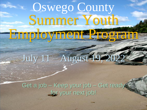# Oswego County Summer Youth Employment Program

# July 11 – August 19, 2022

Get a job – Keep your job – Get ready for your next job!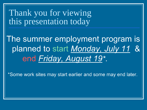## Thank you for viewing this presentation today

The summer employment program is planned to start Monday, July 11 & end Friday, August 19\*.

\*Some work sites may start earlier and some may end later.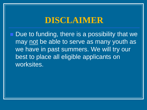### **DISCLAIMER**

■ Due to funding, there is a possibility that we may not be able to serve as many youth as we have in past summers. We will try our best to place all eligible applicants on worksites.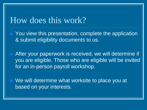### How does this work?

- You view this presentation, complete the application & submit eligibility documents to us.
- After your paperwork is received, we will determine if you are eligible. Those who are eligible will be invited for an in-person payroll workshop.

◼ We will determine what worksite to place you at based on your interests.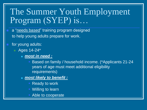## The Summer Youth Employment Program (SYEP) is…

- a "needs based" training program designed to help young adults prepare for work.
- for young adults:
	- Ages 14-24<sup>\*</sup>
		- *most in need :* 
			- Based on family / household income. (\*Applicants 21-24 years of age must meet additional eligibility requirements)
		- <sup>◼</sup> *most likely to benefit :*
			- Ready to work
			- Willing to learn
			- **Able to cooperate**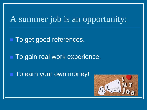## A summer job is an opportunity:

■ To get good references.

■ To gain real work experience.

■ To earn your own money!

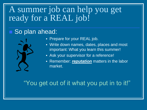## A summer job can help you get ready for a REAL job!

#### ■ So plan ahead:



- **Prepare for your REAL job.**
- Write down names, dates, places and most important: What you learn this summer!
- **B.** Ask your supervisor for a reference!
- **EXA EXE** Remember: *reputation* matters in the labor market.

#### "You get out of it what you put in to it!"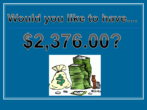# Would you like to have...



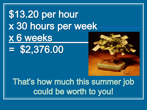## \$13.20 per hour x 30 hours per week x 6 weeks  $=$  \$2,376.00



That's how much this summer job could be worth to you!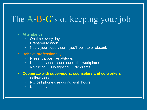## The A-B-C's of keeping your job

#### • **Attendance**

- On time every day.
- Prepared to work.
- Notify your supervisor if you'll be late or absent.

#### • **Behave professionally**

- Present a positive attitude.
- Keep personal issues out of the workplace.
- No flirting ... No fighting ... No drama
- **Cooperate with supervisors, counselors and co-workers**
	- Follow work rules.
	- NO cell phone use during work hours!
	- Keep busy.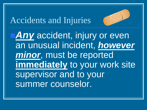## Accidents and Injuries



**<u>IIAny</u>** accident, injury or even an unusual incident, *however minor*, must be reported **immediately** to your work site supervisor and to your summer counselor.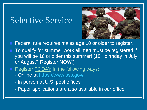## Selective Service



- Federal rule requires males age 18 or older to register.
- To qualify for summer work all men must be registered if you will be 18 or older this summer! (18<sup>th</sup> birthday in July or August? Register NOW!)
- Register **TODAY** in the following ways:
	- Online at <https://www.sss.gov/>
	- In person at U.S. post offices
	- Paper applications are also available in our office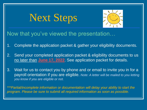## Next Steps



#### Now that you've viewed the presentation…

- 1. Complete the application packet & gather your eligibility documents.
- 2. Send your completed application packet & eligibility documents to us no later than **June 17, 2022**. See application packet for details.
- 3. Wait for us to contact you by phone and or email to invite you in for a payroll orientation if you are eligible. *Note: A letter will be mailed to you letting you know if you are eligible or not.*

*\*\*\*Partial/incomplete information or documentation will delay your ability to start the program. Please be sure to submit all required information as soon as possible.*